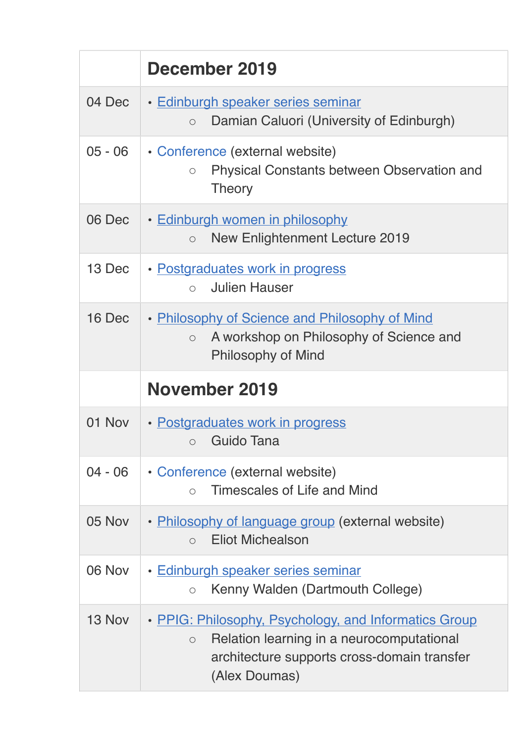|           | December 2019                                                                                                                     |
|-----------|-----------------------------------------------------------------------------------------------------------------------------------|
| 04 Dec    | • Edinburgh speaker series seminar<br>Damian Caluori (University of Edinburgh)<br>$\circ$                                         |
| $05 - 06$ | • Conference (external website)<br><b>Physical Constants between Observation and</b><br>$\circ$<br><b>Theory</b>                  |
| 06 Dec    | • Edinburgh women in philosophy<br><b>New Enlightenment Lecture 2019</b><br>$\circ$                                               |
| 13 Dec    | • Postgraduates work in progress<br><b>Julien Hauser</b><br>$\bigcirc$                                                            |
| 16 Dec    | • Philosophy of Science and Philosophy of Mind<br>A workshop on Philosophy of Science and<br>$\circ$<br><b>Philosophy of Mind</b> |
|           |                                                                                                                                   |
|           | November 2019                                                                                                                     |
| 01 Nov    | • Postgraduates work in progress<br>Guido Tana<br>$\bigcirc$                                                                      |
| $04 - 06$ | • Conference (external website)<br>Timescales of Life and Mind<br>$\bigcirc$                                                      |
| 05 Nov    | • Philosophy of language group (external website)<br><b>Eliot Michealson</b><br>$\bigcirc$                                        |
| 06 Nov    | · Edinburgh speaker series seminar<br>Kenny Walden (Dartmouth College)<br>$\circ$                                                 |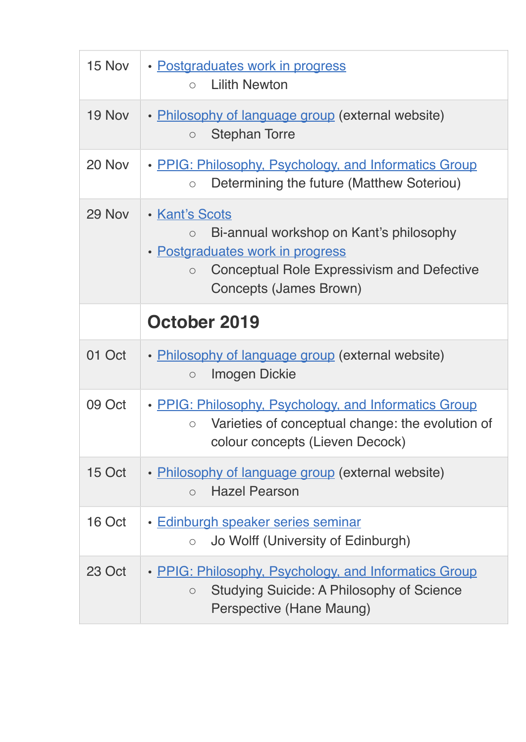| 15 Nov | • Postgraduates work in progress<br><b>Lilith Newton</b><br>$\bigcap$                                                                                                                              |
|--------|----------------------------------------------------------------------------------------------------------------------------------------------------------------------------------------------------|
| 19 Nov | • Philosophy of language group (external website)<br><b>Stephan Torre</b><br>$\bigcirc$                                                                                                            |
| 20 Nov | • PPIG: Philosophy, Psychology, and Informatics Group<br>Determining the future (Matthew Soteriou)<br>$\circ$                                                                                      |
| 29 Nov | <b>· Kant's Scots</b><br>Bi-annual workshop on Kant's philosophy<br>$\circ$<br>• Postgraduates work in progress<br>Conceptual Role Expressivism and Defective<br>$\circ$<br>Concepts (James Brown) |
|        | October 2019                                                                                                                                                                                       |
| 01 Oct | • Philosophy of language group (external website)<br><b>Imogen Dickie</b><br>$\circ$                                                                                                               |
| 09 Oct | • PPIG: Philosophy, Psychology, and Informatics Group<br>Varieties of conceptual change: the evolution of<br>$\circ$<br>colour concepts (Lieven Decock)                                            |
| 15 Oct | • Philosophy of language group (external website)<br><b>Hazel Pearson</b><br>$\circ$                                                                                                               |
| 16 Oct | Edinburgh speaker series seminar<br>Jo Wolff (University of Edinburgh)<br>$\circ$                                                                                                                  |
| 23 Oct |                                                                                                                                                                                                    |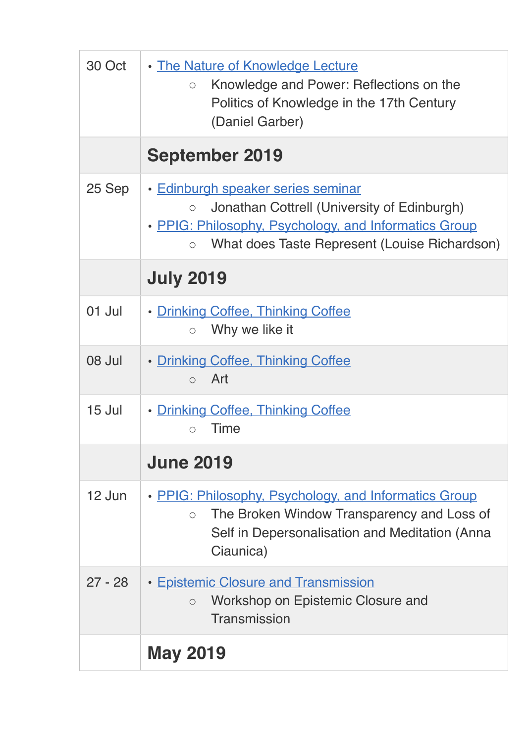| 30 Oct    | . The Nature of Knowledge Lecture<br>Knowledge and Power: Reflections on the<br>$\circ$<br>Politics of Knowledge in the 17th Century<br>(Daniel Garber)                                                           |
|-----------|-------------------------------------------------------------------------------------------------------------------------------------------------------------------------------------------------------------------|
|           | <b>September 2019</b>                                                                                                                                                                                             |
| 25 Sep    | · Edinburgh speaker series seminar<br>Jonathan Cottrell (University of Edinburgh)<br>$\circ$<br>• PPIG: Philosophy, Psychology, and Informatics Group<br>What does Taste Represent (Louise Richardson)<br>$\circ$ |
|           | <b>July 2019</b>                                                                                                                                                                                                  |
| 01 Jul    | • Drinking Coffee, Thinking Coffee<br>Why we like it<br>$\bigcirc$                                                                                                                                                |
| 08 Jul    | • Drinking Coffee, Thinking Coffee<br>Art<br>$\bigcirc$                                                                                                                                                           |
| 15 Jul    | • Drinking Coffee, Thinking Coffee<br>Time<br>$\bigcap$                                                                                                                                                           |
|           | <b>June 2019</b>                                                                                                                                                                                                  |
| 12 Jun    | • PPIG: Philosophy, Psychology, and Informatics Group<br>The Broken Window Transparency and Loss of<br>$\circ$<br>Self in Depersonalisation and Meditation (Anna<br>Ciaunica)                                     |
| $27 - 28$ | • Epistemic Closure and Transmission<br>Workshop on Epistemic Closure and<br>$\circ$<br>Transmission                                                                                                              |
|           | <b>May 2019</b>                                                                                                                                                                                                   |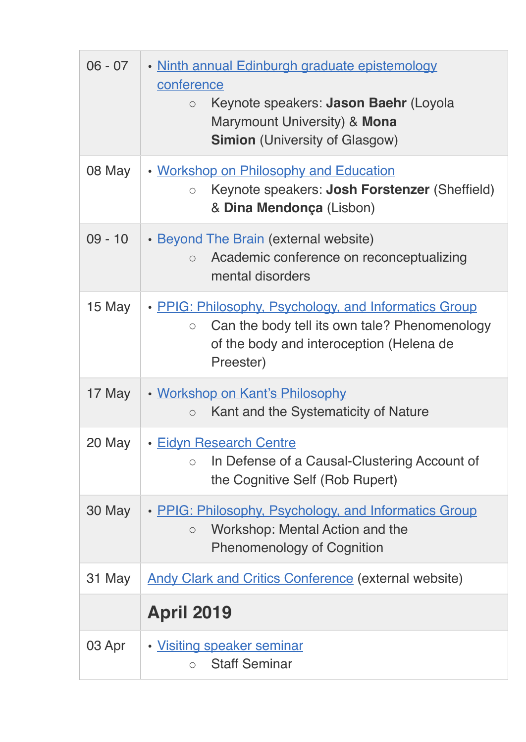| $06 - 07$ | • Ninth annual Edinburgh graduate epistemology<br>conference<br>Keynote speakers: Jason Baehr (Loyola<br>$\circ$<br>Marymount University) & Mona<br><b>Simion</b> (University of Glasgow) |
|-----------|-------------------------------------------------------------------------------------------------------------------------------------------------------------------------------------------|
| 08 May    | . Workshop on Philosophy and Education<br>Keynote speakers: Josh Forstenzer (Sheffield)<br>$\bigcirc$<br>& Dina Mendonça (Lisbon)                                                         |
| $09 - 10$ | • Beyond The Brain (external website)<br>Academic conference on reconceptualizing<br>$\circ$<br>mental disorders                                                                          |
| 15 May    | • PPIG: Philosophy, Psychology, and Informatics Group<br>Can the body tell its own tale? Phenomenology<br>$\circ$<br>of the body and interoception (Helena de<br>Preester)                |
| 17 May    | • Workshop on Kant's Philosophy<br>Kant and the Systematicity of Nature<br>$\bigcirc$                                                                                                     |
| 20 May    | • Eidyn Research Centre<br>In Defense of a Causal-Clustering Account of<br>$\circ$<br>the Cognitive Self (Rob Rupert)                                                                     |
| 30 May    | • PPIG: Philosophy, Psychology, and Informatics Group<br>Workshop: Mental Action and the<br>$\circ$<br><b>Phenomenology of Cognition</b>                                                  |
| 31 May    | <b>Andy Clark and Critics Conference (external website)</b>                                                                                                                               |
|           | <b>April 2019</b>                                                                                                                                                                         |
| 03 Apr    | · Visiting speaker seminar<br><b>Staff Seminar</b><br>$\circ$                                                                                                                             |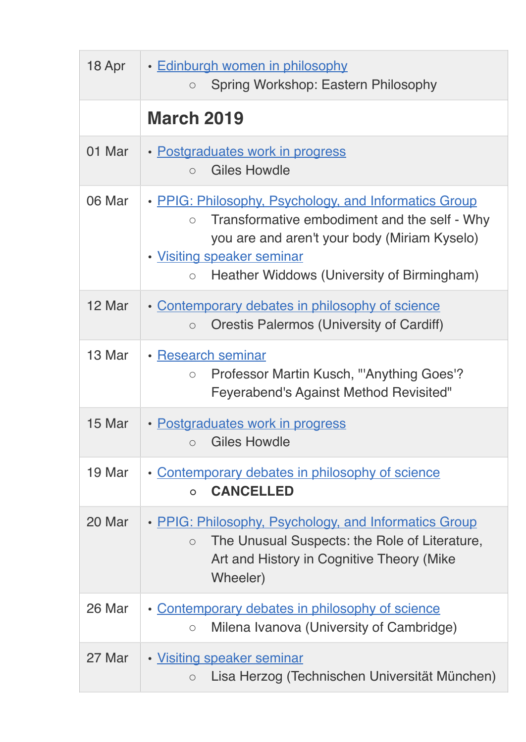| 18 Apr | · Edinburgh women in philosophy<br>Spring Workshop: Eastern Philosophy<br>$\circ$                                                                                                                                                                          |
|--------|------------------------------------------------------------------------------------------------------------------------------------------------------------------------------------------------------------------------------------------------------------|
|        | <b>March 2019</b>                                                                                                                                                                                                                                          |
| 01 Mar | • Postgraduates work in progress<br><b>Giles Howdle</b><br>$\bigcap$                                                                                                                                                                                       |
| 06 Mar | • PPIG: Philosophy, Psychology, and Informatics Group<br>Transformative embodiment and the self - Why<br>$\bigcirc$<br>you are and aren't your body (Miriam Kyselo)<br>· Visiting speaker seminar<br>Heather Widdows (University of Birmingham)<br>$\circ$ |
| 12 Mar | • Contemporary debates in philosophy of science<br><b>Orestis Palermos (University of Cardiff)</b><br>$\circ$                                                                                                                                              |
| 13 Mar | • Research seminar<br>Professor Martin Kusch, "'Anything Goes'?<br>$\bigcirc$<br><b>Feyerabend's Against Method Revisited"</b>                                                                                                                             |
| 15 Mar | • Postgraduates work in progress<br><b>Giles Howdle</b><br>$\circ$                                                                                                                                                                                         |
| 19 Mar | • Contemporary debates in philosophy of science<br><b>CANCELLED</b><br>$\Omega$                                                                                                                                                                            |
| 20 Mar | • PPIG: Philosophy, Psychology, and Informatics Group<br>The Unusual Suspects: the Role of Literature,<br>$\bigcirc$<br>Art and History in Cognitive Theory (Mike<br>Wheeler)                                                                              |
| 26 Mar | Contemporary debates in philosophy of science<br>Milena Ivanova (University of Cambridge)<br>$\bigcirc$                                                                                                                                                    |
| 27 Mar | • Visiting speaker seminar<br>Lisa Herzog (Technischen Universität München)<br>$\circ$                                                                                                                                                                     |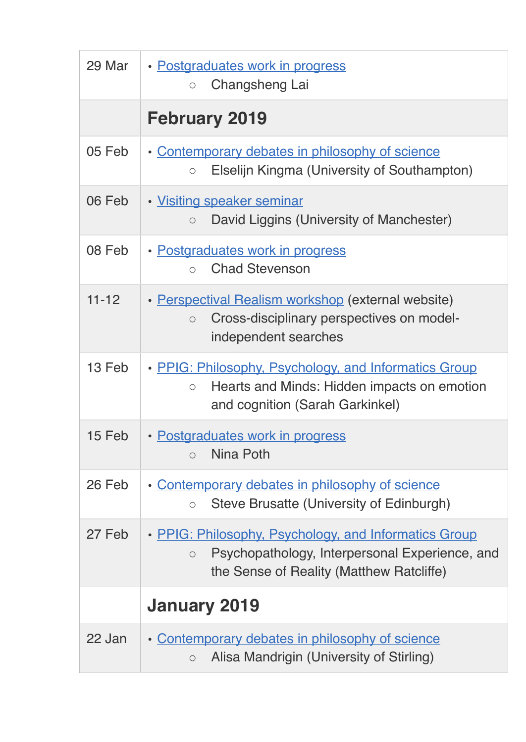| 29 Mar    | · Postgraduates work in progress<br>Changsheng Lai<br>$\circ$                                                                                                     |
|-----------|-------------------------------------------------------------------------------------------------------------------------------------------------------------------|
|           | <b>February 2019</b>                                                                                                                                              |
| 05 Feb    | • Contemporary debates in philosophy of science<br>Elselijn Kingma (University of Southampton)<br>$\circ$                                                         |
| 06 Feb    | · Visiting speaker seminar<br>David Liggins (University of Manchester)<br>$\circ$                                                                                 |
| 08 Feb    | • Postgraduates work in progress<br><b>Chad Stevenson</b><br>$\bigcap$                                                                                            |
| $11 - 12$ | • Perspectival Realism workshop (external website)<br>Cross-disciplinary perspectives on model-<br>$\circ$<br>independent searches                                |
| 13 Feb    | • PPIG: Philosophy, Psychology, and Informatics Group<br>Hearts and Minds: Hidden impacts on emotion<br>$\circ$<br>and cognition (Sarah Garkinkel)                |
| 15 Feb    | • Postgraduates work in progress<br>Nina Poth<br>$\bigcirc$                                                                                                       |
| 26 Feb    | • Contemporary debates in philosophy of science<br>Steve Brusatte (University of Edinburgh)<br>$\circ$                                                            |
| 27 Feb    | • PPIG: Philosophy, Psychology, and Informatics Group<br>Psychopathology, Interpersonal Experience, and<br>$\bigcirc$<br>the Sense of Reality (Matthew Ratcliffe) |
|           | <b>January 2019</b>                                                                                                                                               |
| 22 Jan    | • Contemporary debates in philosophy of science<br>Alisa Mandrigin (University of Stirling)<br>$\circ$                                                            |